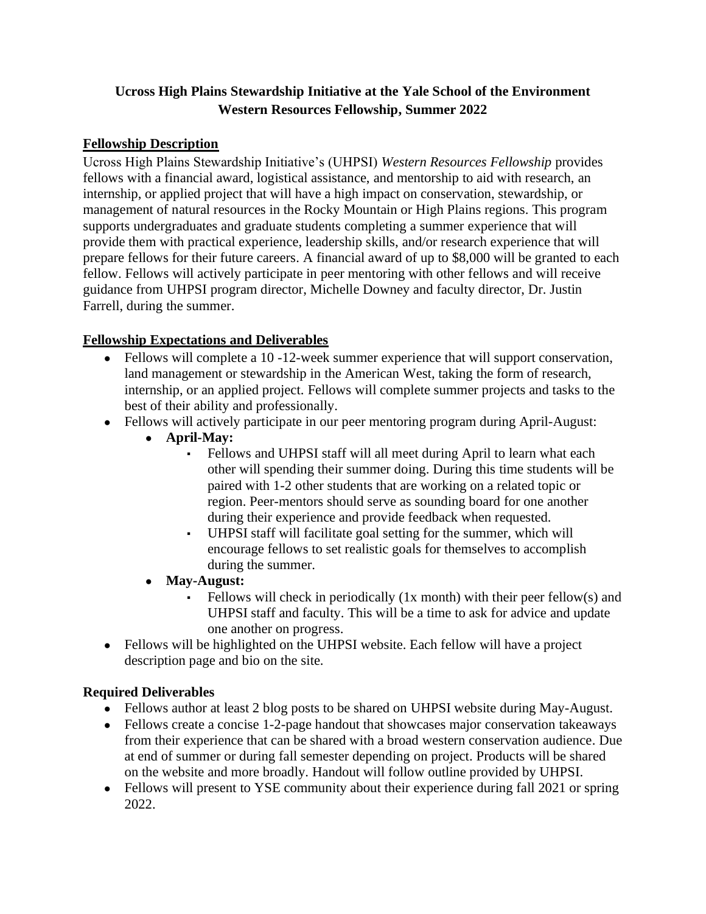# **Ucross High Plains Stewardship Initiative at the Yale School of the Environment Western Resources Fellowship, Summer 2022**

## **Fellowship Description**

Ucross High Plains Stewardship Initiative's (UHPSI) *Western Resources Fellowship* provides fellows with a financial award, logistical assistance, and mentorship to aid with research, an internship, or applied project that will have a high impact on conservation, stewardship, or management of natural resources in the Rocky Mountain or High Plains regions. This program supports undergraduates and graduate students completing a summer experience that will provide them with practical experience, leadership skills, and/or research experience that will prepare fellows for their future careers. A financial award of up to \$8,000 will be granted to each fellow. Fellows will actively participate in peer mentoring with other fellows and will receive guidance from UHPSI program director, Michelle Downey and faculty director, Dr. Justin Farrell, during the summer.

### **Fellowship Expectations and Deliverables**

- Fellows will complete a 10-12-week summer experience that will support conservation, land management or stewardship in the American West, taking the form of research, internship, or an applied project. Fellows will complete summer projects and tasks to the best of their ability and professionally.
- Fellows will actively participate in our peer mentoring program during April-August:
	- **April-May:** 
		- Fellows and UHPSI staff will all meet during April to learn what each other will spending their summer doing. During this time students will be paired with 1-2 other students that are working on a related topic or region. Peer-mentors should serve as sounding board for one another during their experience and provide feedback when requested.
		- UHPSI staff will facilitate goal setting for the summer, which will encourage fellows to set realistic goals for themselves to accomplish during the summer.
	- **May-August:** 
		- Fellows will check in periodically (1x month) with their peer fellow(s) and UHPSI staff and faculty. This will be a time to ask for advice and update one another on progress.
- Fellows will be highlighted on the UHPSI website. Each fellow will have a project description page and bio on the site.

# **Required Deliverables**

- Fellows author at least 2 blog posts to be shared on UHPSI website during May-August.
- Fellows create a concise 1-2-page handout that showcases major conservation takeaways from their experience that can be shared with a broad western conservation audience. Due at end of summer or during fall semester depending on project. Products will be shared on the website and more broadly. Handout will follow outline provided by UHPSI.
- Fellows will present to YSE community about their experience during fall 2021 or spring 2022.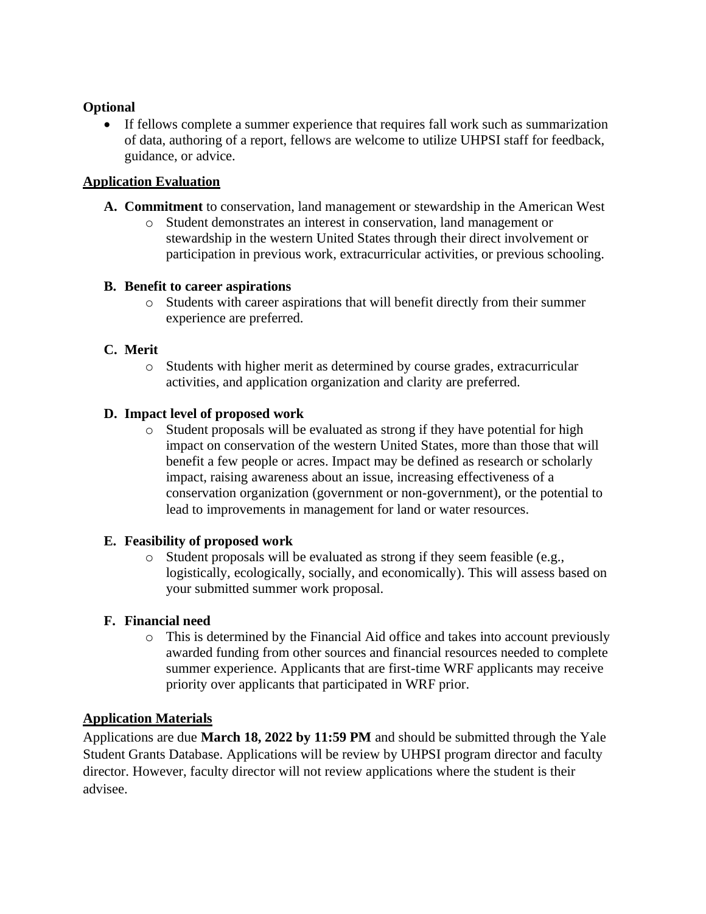#### **Optional**

• If fellows complete a summer experience that requires fall work such as summarization of data, authoring of a report, fellows are welcome to utilize UHPSI staff for feedback, guidance, or advice.

### **Application Evaluation**

- **A. Commitment** to conservation, land management or stewardship in the American West
	- o Student demonstrates an interest in conservation, land management or stewardship in the western United States through their direct involvement or participation in previous work, extracurricular activities, or previous schooling.

#### **B. Benefit to career aspirations**

 $\circ$  Students with career aspirations that will benefit directly from their summer experience are preferred.

### **C. Merit**

o Students with higher merit as determined by course grades, extracurricular activities, and application organization and clarity are preferred.

#### **D. Impact level of proposed work**

o Student proposals will be evaluated as strong if they have potential for high impact on conservation of the western United States, more than those that will benefit a few people or acres. Impact may be defined as research or scholarly impact, raising awareness about an issue, increasing effectiveness of a conservation organization (government or non-government), or the potential to lead to improvements in management for land or water resources.

#### **E. Feasibility of proposed work**

o Student proposals will be evaluated as strong if they seem feasible (e.g., logistically, ecologically, socially, and economically). This will assess based on your submitted summer work proposal.

#### **F. Financial need**

o This is determined by the Financial Aid office and takes into account previously awarded funding from other sources and financial resources needed to complete summer experience. Applicants that are first-time WRF applicants may receive priority over applicants that participated in WRF prior.

#### **Application Materials**

Applications are due **March 18, 2022 by 11:59 PM** and should be submitted through the Yale Student Grants Database. Applications will be review by UHPSI program director and faculty director. However, faculty director will not review applications where the student is their advisee.